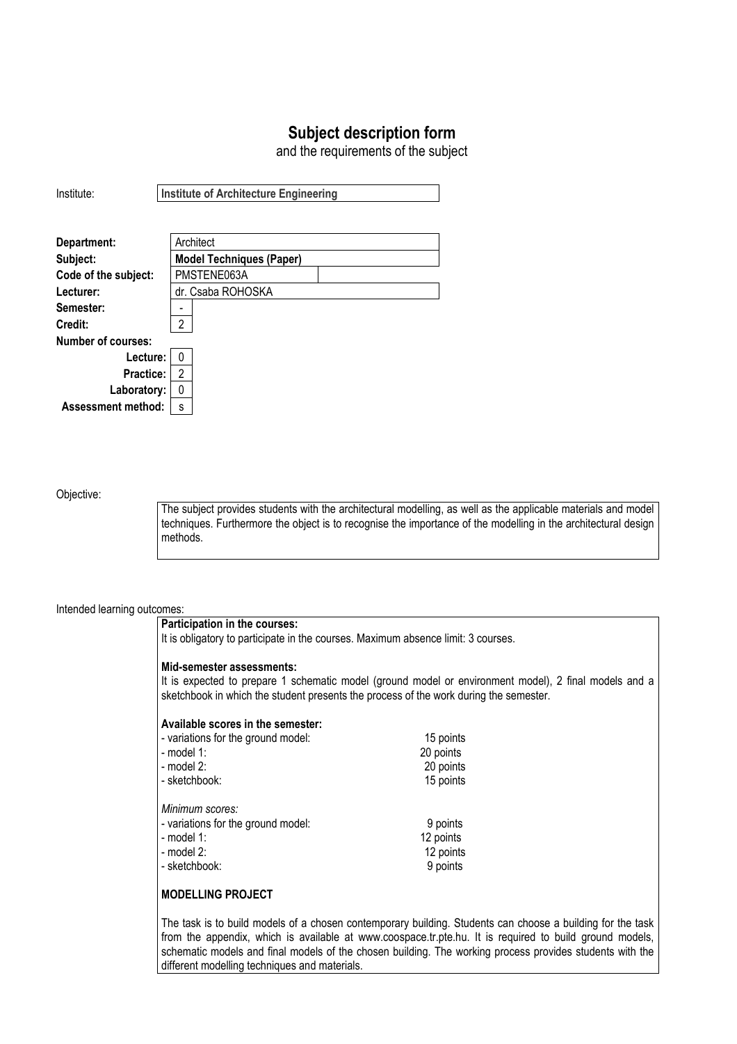# **Subject description form**

and the requirements of the subject

| Institute:                | <b>Institute of Architecture Engineering</b> |  |
|---------------------------|----------------------------------------------|--|
|                           |                                              |  |
| Department:               | Architect                                    |  |
| Subject:                  | <b>Model Techniques (Paper)</b>              |  |
| Code of the subject:      | PMSTENE063A                                  |  |
| Lecturer:                 | dr. Csaba ROHOSKA                            |  |
| Semester:                 | -                                            |  |
| Credit:                   | $\overline{2}$                               |  |
| <b>Number of courses:</b> |                                              |  |
| Lecture:                  | 0                                            |  |
| <b>Practice:</b>          | 2                                            |  |
| Laboratory:               | 0                                            |  |
| <b>Assessment method:</b> | S                                            |  |

Objective:

The subject provides students with the architectural modelling, as well as the applicable materials and model techniques. Furthermore the object is to recognise the importance of the modelling in the architectural design methods.

#### Intended learning outcomes:

| Participation in the courses:                                                         |                                                                                                                |  |
|---------------------------------------------------------------------------------------|----------------------------------------------------------------------------------------------------------------|--|
| It is obligatory to participate in the courses. Maximum absence limit: 3 courses.     |                                                                                                                |  |
| Mid-semester assessments:                                                             |                                                                                                                |  |
| sketchbook in which the student presents the process of the work during the semester. | It is expected to prepare 1 schematic model (ground model or environment model), 2 final models and a          |  |
| Available scores in the semester:                                                     |                                                                                                                |  |
| - variations for the ground model:                                                    | 15 points                                                                                                      |  |
| $-$ model 1:                                                                          | 20 points                                                                                                      |  |
| - model 2:                                                                            | 20 points                                                                                                      |  |
| - sketchbook:                                                                         | 15 points                                                                                                      |  |
| Minimum scores:                                                                       |                                                                                                                |  |
| - variations for the ground model:                                                    | 9 points                                                                                                       |  |
| $-$ model 1:                                                                          | 12 points                                                                                                      |  |
| - model 2:                                                                            | 12 points                                                                                                      |  |
| - sketchbook:                                                                         | 9 points                                                                                                       |  |
| <b>MODELLING PROJECT</b>                                                              |                                                                                                                |  |
|                                                                                       | The teals in the build meadels of a phone opportuning and building. Otherste and phones a building factbooks h |  |

The task is to build models of a chosen contemporary building. Students can choose a building for the task from the appendix, which is available at www.coospace.tr.pte.hu. It is required to build ground models, schematic models and final models of the chosen building. The working process provides students with the different modelling techniques and materials.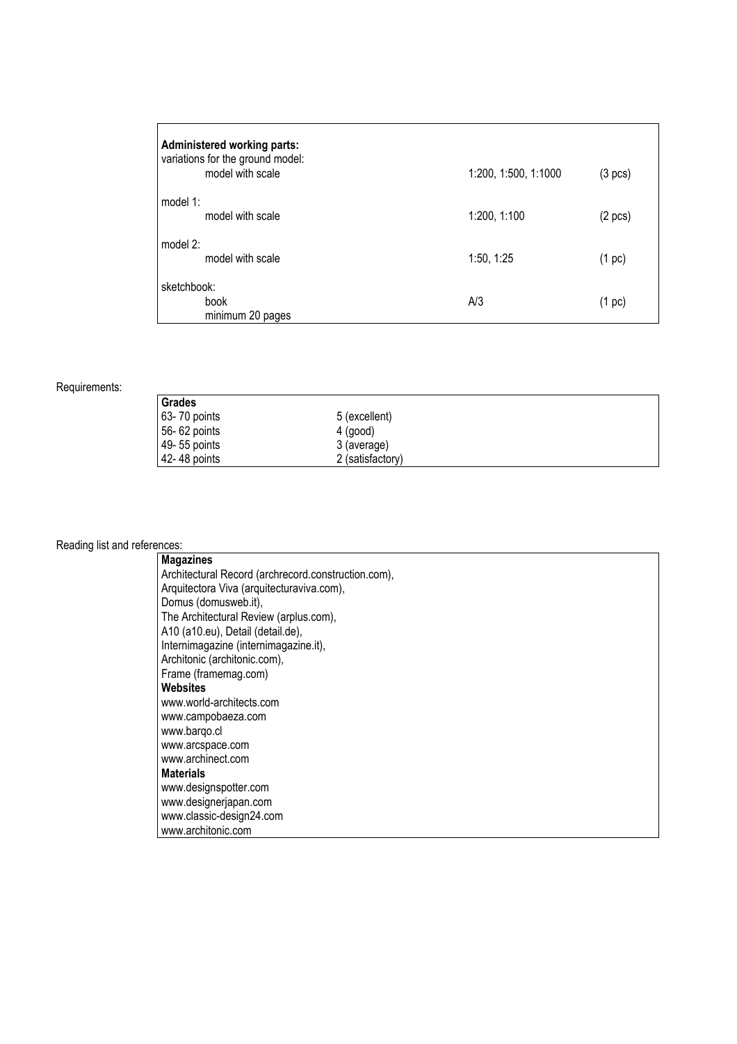| Administered working parts:<br>variations for the ground model:<br>model with scale | 1:200, 1:500, 1:1000 | $(3 \text{ pcs})$ |
|-------------------------------------------------------------------------------------|----------------------|-------------------|
| model 1:<br>model with scale                                                        | 1:200, 1:100         | $(2 \text{ pcs})$ |
| model 2:<br>model with scale                                                        | 1:50, 1:25           | (1~pc)            |
| sketchbook:<br>book<br>minimum 20 pages                                             | A/3                  | (1~pc)            |

#### Requirements:

| <b>Grades</b> |                  |  |
|---------------|------------------|--|
| 63-70 points  | 5 (excellent)    |  |
| 56-62 points  | $4$ (good)       |  |
| 49-55 points  | 3 (average)      |  |
| 42-48 points  | 2 (satisfactory) |  |

### Reading list and references:

| <b>Magazines</b>                                    |  |
|-----------------------------------------------------|--|
| Architectural Record (archrecord.construction.com), |  |
| Arquitectora Viva (arquitecturaviva.com),           |  |
| Domus (domusweb.it),                                |  |
| The Architectural Review (arplus.com),              |  |
| A10 (a10.eu), Detail (detail.de),                   |  |
| Internimagazine (internimagazine.it),               |  |
| Architonic (architonic.com),                        |  |
| Frame (framemag.com)                                |  |
| <b>Websites</b>                                     |  |
| www.world-architects.com                            |  |
| www.campobaeza.com                                  |  |
| www.bargo.cl                                        |  |
| www.arcspace.com                                    |  |
| www.archinect.com                                   |  |
| <b>Materials</b>                                    |  |
| www.designspotter.com                               |  |
| www.designerjapan.com                               |  |
| www.classic-design24.com                            |  |
| www.architonic.com                                  |  |